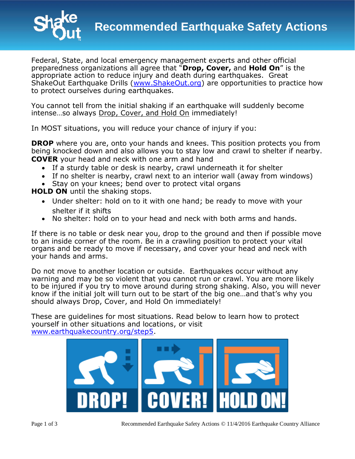

Federal, State, and local emergency management experts and other official preparedness organizations all agree that "**Drop, Cover,** and **Hold On**" is the appropriate action to reduce injury and death during earthquakes. Great ShakeOut Earthquake Drills [\(www.ShakeOut.org\)](http://www.shakeout.org/) are opportunities to practice how to protect ourselves during earthquakes.

You cannot tell from the initial shaking if an earthquake will suddenly become intense…so always Drop, Cover, and Hold On immediately!

In MOST situations, you will reduce your chance of injury if you:

**DROP** where you are, onto your hands and knees. This position protects you from being knocked down and also allows you to stay low and crawl to shelter if nearby. **COVER** your head and neck with one arm and hand

- If a sturdy table or desk is nearby, crawl underneath it for shelter
- If no shelter is nearby, crawl next to an interior wall (away from windows)
- Stay on your knees; bend over to protect vital organs

**HOLD ON** until the shaking stops.

- Under shelter: hold on to it with one hand; be ready to move with your shelter if it shifts
- No shelter: hold on to your head and neck with both arms and hands.

If there is no table or desk near you, drop to the ground and then if possible move to an inside corner of the room. Be in a crawling position to protect your vital organs and be ready to move if necessary, and cover your head and neck with your hands and arms.

Do not move to another location or outside. Earthquakes occur without any warning and may be so violent that you cannot run or crawl. You are more likely to be injured if you try to move around during strong shaking. Also, you will never know if the initial jolt will turn out to be start of the big one…and that's why you should always Drop, Cover, and Hold On immediately!

These are guidelines for most situations. Read below to learn how to protect yourself in other situations and locations, or visit [www.earthquakecountry.org/step5.](http://www.earthquakecountry.org/step5)

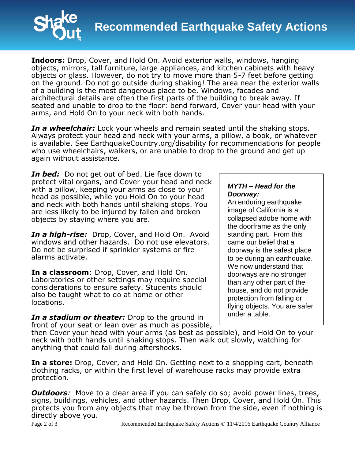

**Indoors:** Drop, Cover, and Hold On. Avoid exterior walls, windows, hanging objects, mirrors, tall furniture, large appliances, and kitchen cabinets with heavy objects or glass. However, do not try to move more than 5-7 feet before getting on the ground. Do not go outside during shaking! The area near the exterior walls of a building is the most dangerous place to be. Windows, facades and architectural details are often the first parts of the building to break away. If seated and unable to drop to the floor: bend forward, Cover your head with your arms, and Hold On to your neck with both hands.

*In a wheelchair:* Lock your wheels and remain seated until the shaking stops. Always protect your head and neck with your arms, a pillow, a book, or whatever is available. See EarthquakeCountry.org/disability for recommendations for people who use wheelchairs, walkers, or are unable to drop to the ground and get up again without assistance.

*In bed:* Do not get out of bed. Lie face down to protect vital organs, and Cover your head and neck with a pillow, keeping your arms as close to your head as possible, while you Hold On to your head and neck with both hands until shaking stops. You are less likely to be injured by fallen and broken objects by staying where you are.

*In a high-rise:* Drop, Cover, and Hold On.Avoid windows and other hazards. Do not use elevators. Do not be surprised if sprinkler systems or fire alarms activate.

**In a classroom**: Drop, Cover, and Hold On. Laboratories or other settings may require special considerations to ensure safety. Students should also be taught what to do at home or other locations.

*In a stadium or theater:* Drop to the ground in front of your seat or lean over as much as possible,

## *MYTH – Head for the Doorway:*

An enduring earthquake image of California is a collapsed adobe home with the doorframe as the only standing part. From this came our belief that a doorway is the safest place to be during an earthquake. We now understand that doorways are no stronger than any other part of the house, and do not provide protection from falling or flying objects. You are safer under a table.

then Cover your head with your arms (as best as possible), and Hold On to your neck with both hands until shaking stops. Then walk out slowly, watching for anything that could fall during aftershocks.

**In a store:** Drop, Cover, and Hold On. Getting next to a shopping cart, beneath clothing racks, or within the first level of warehouse racks may provide extra protection.

*Outdoors:* Move to a clear area if you can safely do so; avoid power lines, trees, signs, buildings, vehicles, and other hazards. Then Drop, Cover, and Hold On. This protects you from any objects that may be thrown from the side, even if nothing is directly above you.